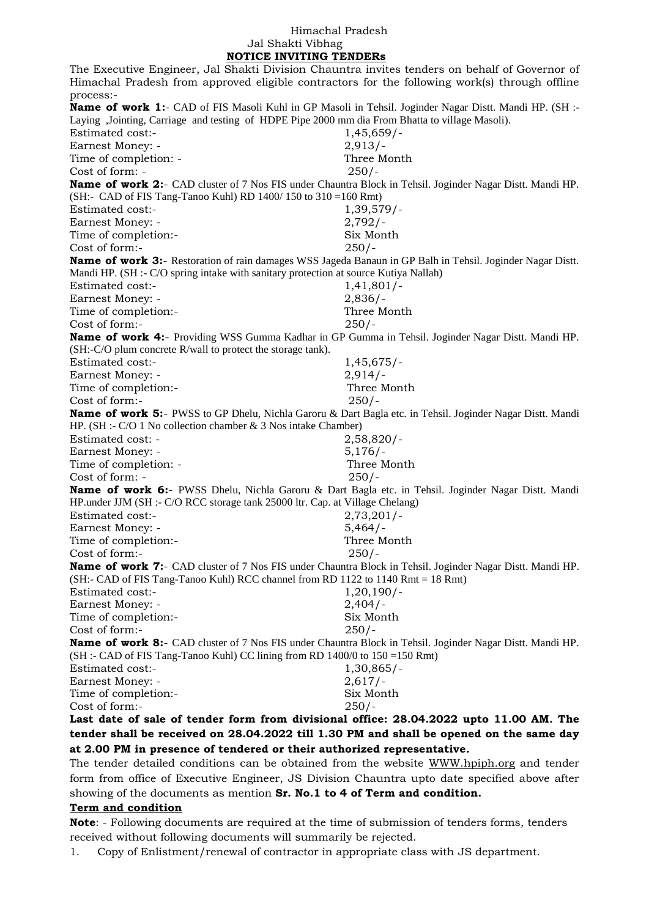## Himachal Pradesh Jal Shakti Vibhag  **NOTICE INVITING TENDERs**

The Executive Engineer, Jal Shakti Division Chauntra invites tenders on behalf of Governor of Himachal Pradesh from approved eligible contractors for the following work(s) through offline process:- **Name of work 1:-** CAD of FIS Masoli Kuhl in GP Masoli in Tehsil. Joginder Nagar Distt. Mandi HP. (SH :-Laying ,Jointing, Carriage and testing of HDPE Pipe 2000 mm dia From Bhatta to village Masoli). Estimated cost:- 1,45,659/-Earnest Money: - 2,913/-Time of completion: - Three Month Cost of form: - 250/- **Name of work 2:**- CAD cluster of 7 Nos FIS under Chauntra Block in Tehsil. Joginder Nagar Distt. Mandi HP. (SH:- CAD of FIS Tang-Tanoo Kuhl) RD 1400/ 150 to 310 =160 Rmt) Estimated cost:- 1,39,579/-Earnest Money: - 2,792/-Time of completion:- Six Month Cost of form:- 250/- **Name of work 3:**- Restoration of rain damages WSS Jageda Banaun in GP Balh in Tehsil. Joginder Nagar Distt. Mandi HP. (SH :- C/O spring intake with sanitary protection at source Kutiya Nallah) Estimated cost:- 1,41,801/- Earnest Money: - 2,836/- Time of completion:- Three Month Cost of form:- 250/- **Name of work 4:**- Providing WSS Gumma Kadhar in GP Gumma in Tehsil. Joginder Nagar Distt. Mandi HP. (SH:-C/O plum concrete R/wall to protect the storage tank). Estimated cost:- 1,45,675/-Earnest Money: - 2,914/-Time of completion:- Three Month  $Cost of form: 250/$ **Name of work 5:**- PWSS to GP Dhelu, Nichla Garoru & Dart Bagla etc. in Tehsil. Joginder Nagar Distt. Mandi HP. (SH :- C/O 1 No collection chamber & 3 Nos intake Chamber) Estimated cost: - 2,58,820/- Earnest Money: - 5,176/-Time of completion: - Three Month Cost of form: - 250/- **Name of work 6:**- PWSS Dhelu, Nichla Garoru & Dart Bagla etc. in Tehsil. Joginder Nagar Distt. Mandi HP.under JJM (SH :- C/O RCC storage tank 25000 ltr. Cap. at Village Chelang) Estimated cost:- 2,73,201/- Earnest Money: - 5,464/-Time of completion:- Three Month Cost of form:- 250/- **Name of work 7:**- CAD cluster of 7 Nos FIS under Chauntra Block in Tehsil. Joginder Nagar Distt. Mandi HP. (SH:- CAD of FIS Tang-Tanoo Kuhl) RCC channel from RD 1122 to 1140 Rmt = 18 Rmt) Estimated cost:- 1,20,190/-Earnest Money: - 2,404/-Time of completion:- Six Month Cost of form:- 250/- **Name of work 8:**- CAD cluster of 7 Nos FIS under Chauntra Block in Tehsil. Joginder Nagar Distt. Mandi HP. (SH :- CAD of FIS Tang-Tanoo Kuhl) CC lining from RD 1400/0 to 150 =150 Rmt) Estimated cost:- 1,30,865/-Earnest Money: - 2,617/-Time of completion:- Six Month Cost of form:- 250/- **Last date of sale of tender form from divisional office: 28.04.2022 upto 11.00 AM. The tender shall be received on 28.04.2022 till 1.30 PM and shall be opened on the same day at 2.00 PM in presence of tendered or their authorized representative.**

The tender detailed conditions can be obtained from the website [WWW.hpiph.org](http://www.hpiph.org/) and tender form from office of Executive Engineer, JS Division Chauntra upto date specified above after showing of the documents as mention **Sr. No.1 to 4 of Term and condition.** 

## **Term and condition**

**Note**: - Following documents are required at the time of submission of tenders forms, tenders received without following documents will summarily be rejected.

1. Copy of Enlistment/renewal of contractor in appropriate class with JS department.